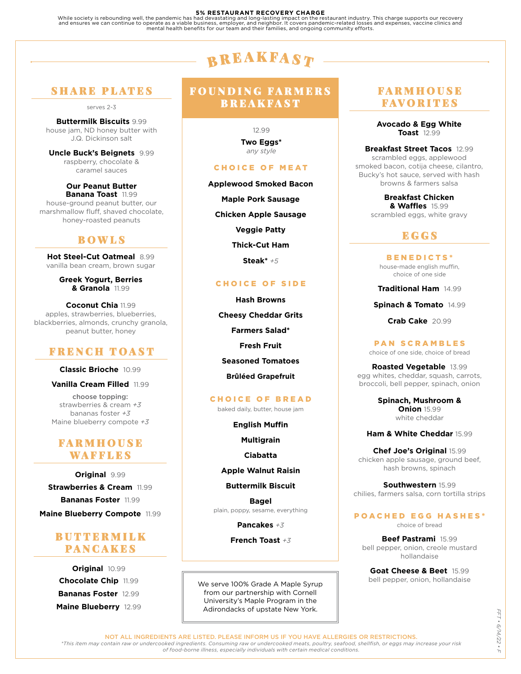5% RESTAURANT RECOVERY CHARGE<br>While society is rebounding well, the pandemic has had devastating and long-lasting impact on the restaurant industry. This charge supports our recovery<br>and ensures we can continue to operate

# ${\bf B}$  R E A K F A S  ${\bm T}$

# SHARE PLATES

serves 2-3

**Buttermilk Biscuits** 9.99 house jam, ND honey butter with J.Q. Dickinson salt

**Uncle Buck's Beignets** 9.99 raspberry, chocolate & caramel sauces

**Our Peanut Butter Banana Toast** 11.99 house-ground peanut butter, our marshmallow fluff, shaved chocolate, honey-roasted peanuts

# BOWLS

**Hot Steel-Cut Oatmeal** 8.99 vanilla bean cream, brown sugar

> **Greek Yogurt, Berries & Granola** 11.99

**Coconut Chia** 11.99 apples, strawberries, blueberries, blackberries, almonds, crunchy granola, peanut butter, honey

# FRENCH TOAST

#### **Classic Brioche** 10.99

**Vanilla Cream Filled** 11.99

choose topping: strawberries & cream *+3* bananas foster *+3* Maine blueberry compote *+3*

# FARMHOUSE WAFFLES

**Original** 9.99 **Strawberries & Cream** 11.99 **Bananas Foster** 11.99 **Maine Blueberry Compote** 11.99

# BUTTERMILK PANCAKES

**Original** 10.99 **Chocolate Chip** 11.99 **Bananas Foster** 12.99 **Maine Blueberry** 12.99

# FOUNDING FARMERS **BREAKFAST**

12.99 **Two Eggs\*** *any style*

### CHOICE OF MEAT

**Applewood Smoked Bacon Maple Pork Sausage Chicken Apple Sausage Veggie Patty Thick-Cut Ham Steak\*** *+5*

#### CHOICE OF SIDE

**Hash Browns Cheesy Cheddar Grits Farmers Salad\* Fresh Fruit Seasoned Tomatoes Brûléed Grapefruit**

### CHOICE OF BREAD

baked daily, butter, house jam

**English Muffin**

**Multigrain**

**Ciabatta**

**Apple Walnut Raisin**

**Buttermilk Biscuit**

**Bagel** plain, poppy, sesame, everything

**Pancakes** *+3*

**French Toast** *+3*

We serve 100% Grade A Maple Syrup from our partnership with Cornell University's Maple Program in the Adirondacks of upstate New York.

# FARMHOUSE FAVORITES

**Avocado & Egg White Toast** 12.99

**Breakfast Street Tacos** 12.99 scrambled eggs, applewood smoked bacon, cotija cheese, cilantro, Bucky's hot sauce, served with hash browns & farmers salsa

> **Breakfast Chicken & Waffles** 15.99 scrambled eggs, white gravy

# EGGS

BENEDICTS\* house-made english muffin, choice of one side

**Traditional Ham** 14.99

**Spinach & Tomato** 14.99

**Crab Cake** 20.99

### PAN SCRAMBLES

choice of one side, choice of bread

**Roasted Vegetable** 13.99 egg whites, cheddar, squash, carrots, broccoli, bell pepper, spinach, onion

> **Spinach, Mushroom & Onion** 15.99 white cheddar

**Ham & White Cheddar** 15.99

**Chef Joe's Original** 15.99 chicken apple sausage, ground beef, hash browns, spinach

**Southwestern** 15.99 chilies, farmers salsa, corn tortilla strips

## POACHED EGG HASHES\*

choice of bread

**Beef Pastrami** 15.99 bell pepper, onion, creole mustard hollandaise

**Goat Cheese & Beet** 15.99 bell pepper, onion, hollandaise

NOT ALL INGREDIENTS ARE LISTED. PLEASE INFORM US IF YOU HAVE ALLERGIES OR RESTRICTIONS.

*\*This item may contain raw or undercooked ingredients. Consuming raw or undercooked meats, poultry, seafood, shellfish, or eggs may increase your risk of food-borne illness, especially individuals with certain medical conditions.*